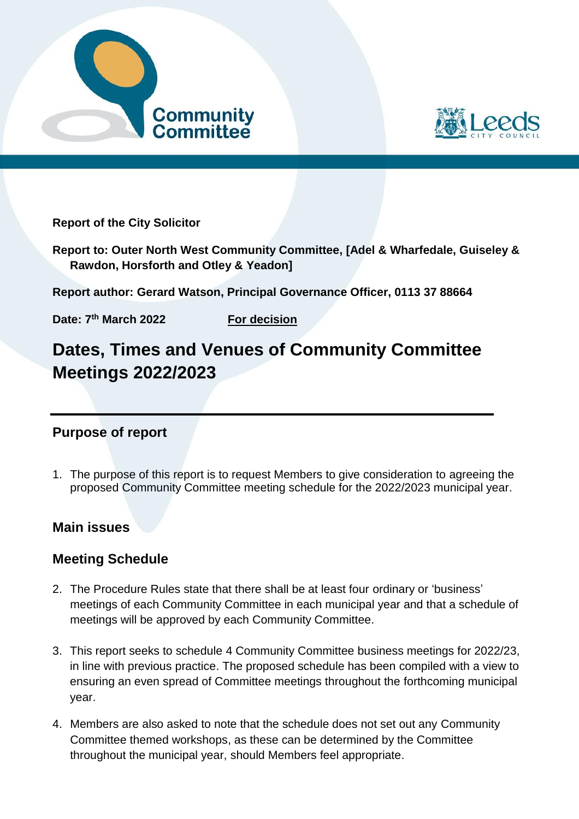



**Report of the City Solicitor**

**Report to: Outer North West Community Committee, [Adel & Wharfedale, Guiseley & Rawdon, Horsforth and Otley & Yeadon]**

**Report author: Gerard Watson, Principal Governance Officer, 0113 37 88664** 

**Date: 7**

**For decision** 

# **Dates, Times and Venues of Community Committee Meetings 2022/2023**

## **Purpose of report**

1. The purpose of this report is to request Members to give consideration to agreeing the proposed Community Committee meeting schedule for the 2022/2023 municipal year.

## **Main issues**

# **Meeting Schedule**

- 2. The Procedure Rules state that there shall be at least four ordinary or 'business' meetings of each Community Committee in each municipal year and that a schedule of meetings will be approved by each Community Committee.
- 3. This report seeks to schedule 4 Community Committee business meetings for 2022/23, in line with previous practice. The proposed schedule has been compiled with a view to ensuring an even spread of Committee meetings throughout the forthcoming municipal year.
- 4. Members are also asked to note that the schedule does not set out any Community Committee themed workshops, as these can be determined by the Committee throughout the municipal year, should Members feel appropriate.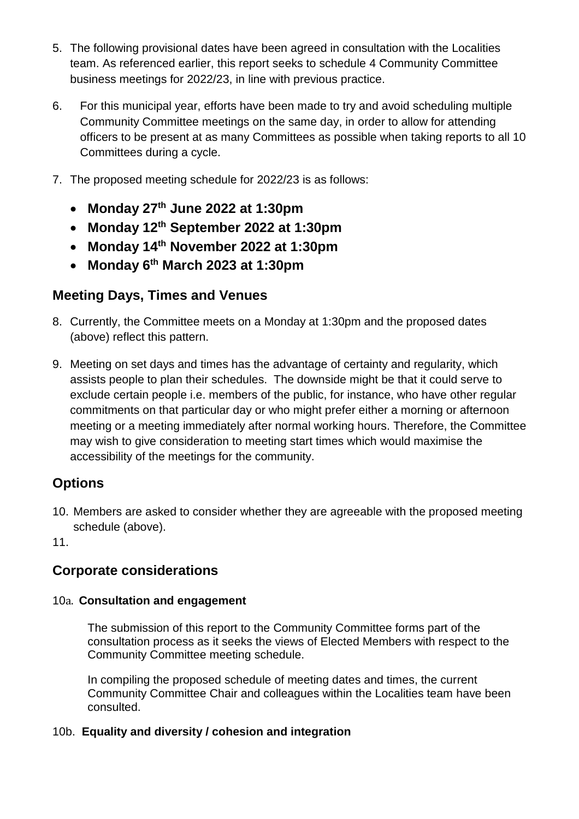- 5. The following provisional dates have been agreed in consultation with the Localities team. As referenced earlier, this report seeks to schedule 4 Community Committee business meetings for 2022/23, in line with previous practice.
- 6. For this municipal year, efforts have been made to try and avoid scheduling multiple Community Committee meetings on the same day, in order to allow for attending officers to be present at as many Committees as possible when taking reports to all 10 Committees during a cycle.
- 7. The proposed meeting schedule for 2022/23 is as follows:
	- **Monday 27th June 2022 at 1:30pm**
	- **Monday 12th September 2022 at 1:30pm**
	- **Monday 14th November 2022 at 1:30pm**
	- **Monday 6th March 2023 at 1:30pm**

## **Meeting Days, Times and Venues**

- 8. Currently, the Committee meets on a Monday at 1:30pm and the proposed dates (above) reflect this pattern.
- 9. Meeting on set days and times has the advantage of certainty and regularity, which assists people to plan their schedules. The downside might be that it could serve to exclude certain people i.e. members of the public, for instance, who have other regular commitments on that particular day or who might prefer either a morning or afternoon meeting or a meeting immediately after normal working hours. Therefore, the Committee may wish to give consideration to meeting start times which would maximise the accessibility of the meetings for the community.

## **Options**

10. Members are asked to consider whether they are agreeable with the proposed meeting schedule (above).

11.

# **Corporate considerations**

#### 10a. **Consultation and engagement**

The submission of this report to the Community Committee forms part of the consultation process as it seeks the views of Elected Members with respect to the Community Committee meeting schedule.

In compiling the proposed schedule of meeting dates and times, the current Community Committee Chair and colleagues within the Localities team have been consulted.

#### 10b. **Equality and diversity / cohesion and integration**